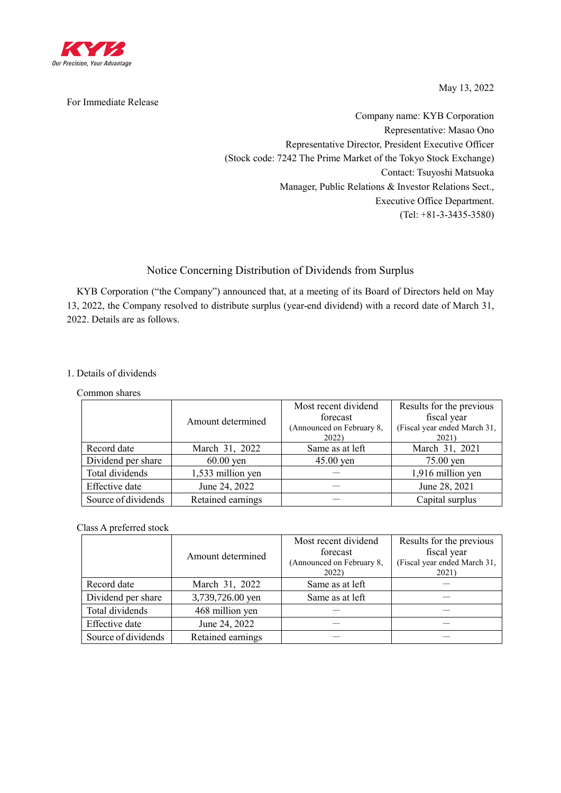

For Immediate Release

May 13, 2022

Company name: KYB Corporation Representative: Masao Ono Representative Director, President Executive Officer (Stock code: 7242 The Prime Market of the Tokyo Stock Exchange) Contact: Tsuyoshi Matsuoka Manager, Public Relations & Investor Relations Sect., Executive Office Department. (Tel: +81-3-3435-3580)

# Notice Concerning Distribution of Dividends from Surplus

KYB Corporation ("the Company") announced that, at a meeting of its Board of Directors held on May 13, 2022, the Company resolved to distribute surplus (year-end dividend) with a record date of March 31, 2022. Details are as follows.

## 1. Details of dividends

### Common shares

|                     |                   | Most recent dividend               | Results for the previous              |
|---------------------|-------------------|------------------------------------|---------------------------------------|
|                     | Amount determined | forecast                           | fiscal year                           |
|                     |                   | (Announced on February 8,<br>2022) | (Fiscal year ended March 31,<br>2021) |
| Record date         | March 31, 2022    | Same as at left                    | March 31, 2021                        |
| Dividend per share  | $60.00$ yen       | $45.00$ yen                        | $75.00$ yen                           |
| Total dividends     | 1,533 million yen |                                    | 1,916 million yen                     |
| Effective date      | June 24, 2022     |                                    | June 28, 2021                         |
| Source of dividends | Retained earnings |                                    | Capital surplus                       |

## Class A preferred stock

|                     | Amount determined | Most recent dividend<br>forecast<br>(Announced on February 8,<br>2022) | Results for the previous<br>fiscal year<br>(Fiscal year ended March 31,<br>2021) |
|---------------------|-------------------|------------------------------------------------------------------------|----------------------------------------------------------------------------------|
| Record date         | March 31, 2022    | Same as at left                                                        |                                                                                  |
| Dividend per share  | 3,739,726.00 yen  | Same as at left                                                        |                                                                                  |
| Total dividends     | 468 million yen   |                                                                        |                                                                                  |
| Effective date      | June 24, 2022     |                                                                        |                                                                                  |
| Source of dividends | Retained earnings |                                                                        |                                                                                  |